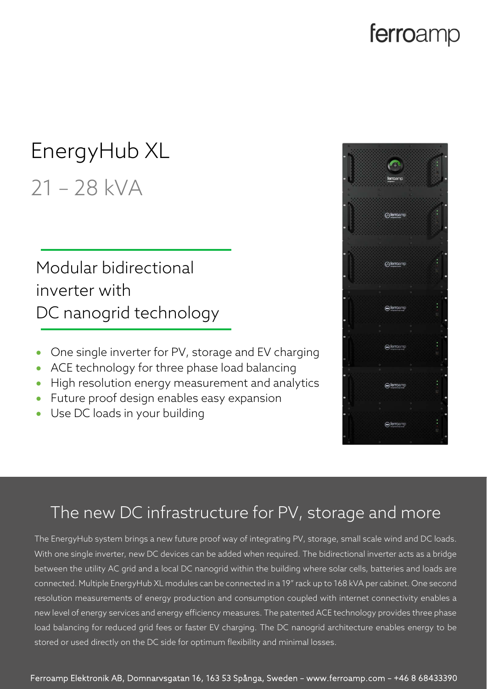## ferroamp

# EnergyHub XL

## 21 – 28 kVA

### Modular bidirectional inverter with DC nanogrid technology

- One single inverter for PV, storage and EV charging
- ACE technology for three phase load balancing
- High resolution energy measurement and analytics
- Future proof design enables easy expansion
- Use DC loads in your building



#### The new DC infrastructure for PV, storage and more

The EnergyHub system brings a new future proof way of integrating PV, storage, small scale wind and DC loads. With one single inverter, new DC devices can be added when required. The bidirectional inverter acts as a bridge between the utility AC grid and a local DC nanogrid within the building where solar cells, batteries and loads are connected. Multiple EnergyHub XL modules can be connected in a 19" rack up to 168 kVA per cabinet. One second resolution measurements of energy production and consumption coupled with internet connectivity enables a new level of energy services and energy efficiency measures. The patented ACE technology provides three phase load balancing for reduced grid fees or faster EV charging. The DC nanogrid architecture enables energy to be stored or used directly on the DC side for optimum flexibility and minimal losses.